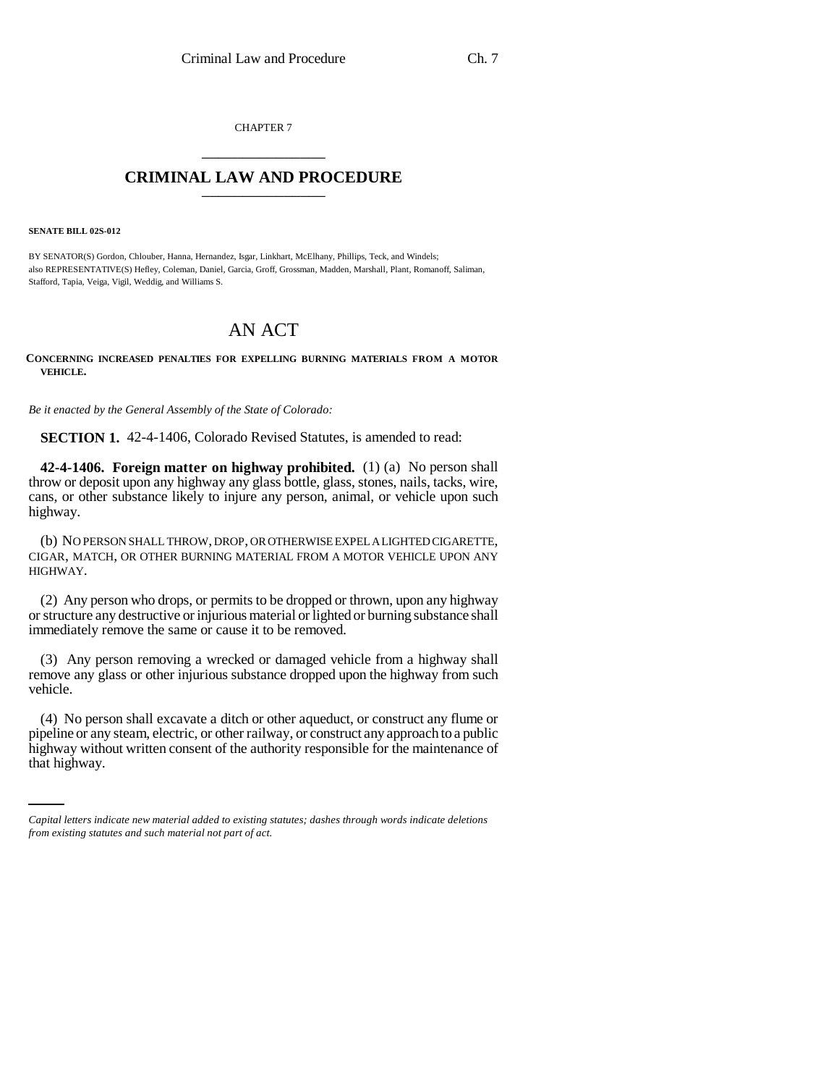CHAPTER 7 \_\_\_\_\_\_\_\_\_\_\_\_\_\_\_

## **CRIMINAL LAW AND PROCEDURE** \_\_\_\_\_\_\_\_\_\_\_\_\_\_\_

**SENATE BILL 02S-012**

BY SENATOR(S) Gordon, Chlouber, Hanna, Hernandez, Isgar, Linkhart, McElhany, Phillips, Teck, and Windels; also REPRESENTATIVE(S) Hefley, Coleman, Daniel, Garcia, Groff, Grossman, Madden, Marshall, Plant, Romanoff, Saliman, Stafford, Tapia, Veiga, Vigil, Weddig, and Williams S.

## AN ACT

**CONCERNING INCREASED PENALTIES FOR EXPELLING BURNING MATERIALS FROM A MOTOR VEHICLE.**

*Be it enacted by the General Assembly of the State of Colorado:*

**SECTION 1.** 42-4-1406, Colorado Revised Statutes, is amended to read:

**42-4-1406. Foreign matter on highway prohibited.** (1) (a) No person shall throw or deposit upon any highway any glass bottle, glass, stones, nails, tacks, wire, cans, or other substance likely to injure any person, animal, or vehicle upon such highway.

(b) NO PERSON SHALL THROW, DROP, OR OTHERWISE EXPEL A LIGHTED CIGARETTE, CIGAR, MATCH, OR OTHER BURNING MATERIAL FROM A MOTOR VEHICLE UPON ANY HIGHWAY.

(2) Any person who drops, or permits to be dropped or thrown, upon any highway or structure any destructive or injurious material or lighted or burning substance shall immediately remove the same or cause it to be removed.

(3) Any person removing a wrecked or damaged vehicle from a highway shall remove any glass or other injurious substance dropped upon the highway from such vehicle.

pipeline or any steam, electric, or other railway, or construct any approach to a public (4) No person shall excavate a ditch or other aqueduct, or construct any flume or highway without written consent of the authority responsible for the maintenance of that highway.

*Capital letters indicate new material added to existing statutes; dashes through words indicate deletions from existing statutes and such material not part of act.*